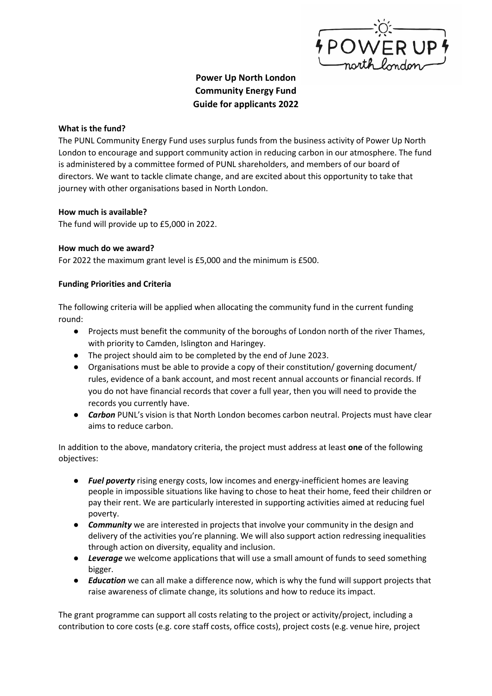

# Power Up North London Community Energy Fund Guide for applicants 2022

#### What is the fund?

The PUNL Community Energy Fund uses surplus funds from the business activity of Power Up North London to encourage and support community action in reducing carbon in our atmosphere. The fund is administered by a committee formed of PUNL shareholders, and members of our board of directors. We want to tackle climate change, and are excited about this opportunity to take that journey with other organisations based in North London.

### How much is available?

The fund will provide up to £5,000 in 2022.

### How much do we award?

For 2022 the maximum grant level is £5,000 and the minimum is £500.

### Funding Priorities and Criteria

The following criteria will be applied when allocating the community fund in the current funding round:

- Projects must benefit the community of the boroughs of London north of the river Thames, with priority to Camden, Islington and Haringey.
- The project should aim to be completed by the end of June 2023.
- Organisations must be able to provide a copy of their constitution/ governing document/ rules, evidence of a bank account, and most recent annual accounts or financial records. If you do not have financial records that cover a full year, then you will need to provide the records you currently have.
- Carbon PUNL's vision is that North London becomes carbon neutral. Projects must have clear aims to reduce carbon.

In addition to the above, mandatory criteria, the project must address at least one of the following objectives:

- Fuel poverty rising energy costs, low incomes and energy-inefficient homes are leaving people in impossible situations like having to chose to heat their home, feed their children or pay their rent. We are particularly interested in supporting activities aimed at reducing fuel poverty.
- **Community** we are interested in projects that involve your community in the design and delivery of the activities you're planning. We will also support action redressing inequalities through action on diversity, equality and inclusion.
- Leverage we welcome applications that will use a small amount of funds to seed something bigger.
- Education we can all make a difference now, which is why the fund will support projects that raise awareness of climate change, its solutions and how to reduce its impact.

The grant programme can support all costs relating to the project or activity/project, including a contribution to core costs (e.g. core staff costs, office costs), project costs (e.g. venue hire, project